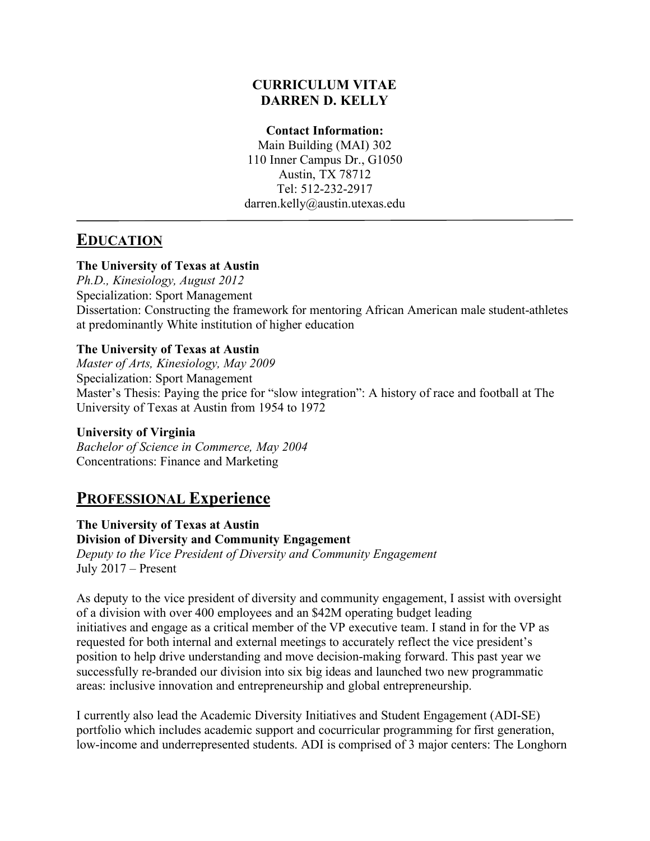#### **CURRICULUM VITAE DARREN D. KELLY**

#### **Contact Information:**

Main Building (MAI) 302 110 Inner Campus Dr., G1050 Austin, TX 78712 Tel: 512-232-2917 darren.kelly@austin.utexas.edu

# **EDUCATION**

#### **The University of Texas at Austin**

*Ph.D., Kinesiology, August 2012* Specialization: Sport Management Dissertation: Constructing the framework for mentoring African American male student-athletes at predominantly White institution of higher education

#### **The University of Texas at Austin**

*Master of Arts, Kinesiology, May 2009* Specialization: Sport Management Master's Thesis: Paying the price for "slow integration": A history of race and football at The University of Texas at Austin from 1954 to 1972

**University of Virginia** *Bachelor of Science in Commerce, May 2004* Concentrations: Finance and Marketing

# **PROFESSIONAL Experience**

**The University of Texas at Austin Division of Diversity and Community Engagement**  *Deputy to the Vice President of Diversity and Community Engagement*  July 2017 – Present

As deputy to the vice president of diversity and community engagement, I assist with oversight of a division with over 400 employees and an \$42M operating budget leading initiatives and engage as a critical member of the VP executive team. I stand in for the VP as requested for both internal and external meetings to accurately reflect the vice president's position to help drive understanding and move decision-making forward. This past year we successfully re-branded our division into six big ideas and launched two new programmatic areas: inclusive innovation and entrepreneurship and global entrepreneurship.

I currently also lead the Academic Diversity Initiatives and Student Engagement (ADI-SE) portfolio which includes academic support and cocurricular programming for first generation, low-income and underrepresented students. ADI is comprised of 3 major centers: The Longhorn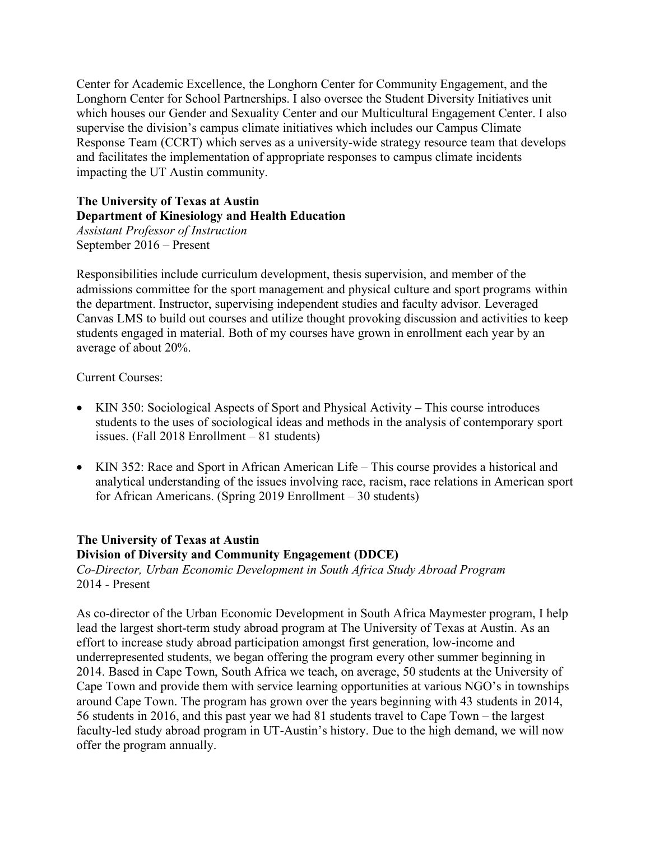Center for Academic Excellence, the Longhorn Center for Community Engagement, and the Longhorn Center for School Partnerships. I also oversee the Student Diversity Initiatives unit which houses our Gender and Sexuality Center and our Multicultural Engagement Center. I also supervise the division's campus climate initiatives which includes our Campus Climate Response Team (CCRT) which serves as a university-wide strategy resource team that develops and facilitates the implementation of appropriate responses to campus climate incidents impacting the UT Austin community.

### **The University of Texas at Austin Department of Kinesiology and Health Education**

*Assistant Professor of Instruction* September 2016 – Present

Responsibilities include curriculum development, thesis supervision, and member of the admissions committee for the sport management and physical culture and sport programs within the department. Instructor, supervising independent studies and faculty advisor. Leveraged Canvas LMS to build out courses and utilize thought provoking discussion and activities to keep students engaged in material. Both of my courses have grown in enrollment each year by an average of about 20%.

Current Courses:

- KIN 350: Sociological Aspects of Sport and Physical Activity This course introduces students to the uses of sociological ideas and methods in the analysis of contemporary sport issues. (Fall 2018 Enrollment – 81 students)
- KIN 352: Race and Sport in African American Life This course provides a historical and analytical understanding of the issues involving race, racism, race relations in American sport for African Americans. (Spring 2019 Enrollment – 30 students)

#### **The University of Texas at Austin Division of Diversity and Community Engagement (DDCE)**

*Co-Director, Urban Economic Development in South Africa Study Abroad Program*  2014 - Present

As co-director of the Urban Economic Development in South Africa Maymester program, I help lead the largest short-term study abroad program at The University of Texas at Austin. As an effort to increase study abroad participation amongst first generation, low-income and underrepresented students, we began offering the program every other summer beginning in 2014. Based in Cape Town, South Africa we teach, on average, 50 students at the University of Cape Town and provide them with service learning opportunities at various NGO's in townships around Cape Town. The program has grown over the years beginning with 43 students in 2014, 56 students in 2016, and this past year we had 81 students travel to Cape Town – the largest faculty-led study abroad program in UT-Austin's history. Due to the high demand, we will now offer the program annually.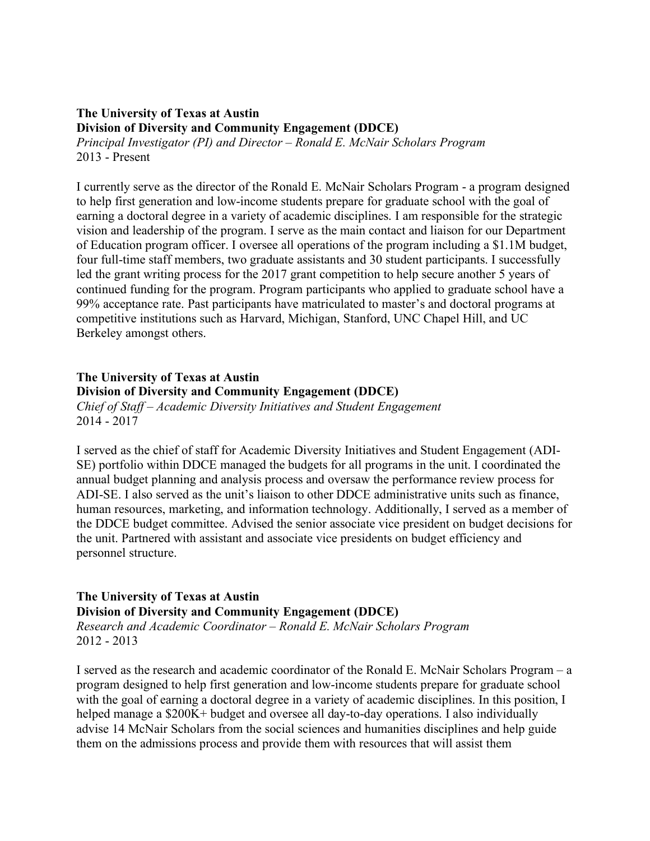### **The University of Texas at Austin Division of Diversity and Community Engagement (DDCE)**

*Principal Investigator (PI) and Director – Ronald E. McNair Scholars Program* 2013 - Present

I currently serve as the director of the Ronald E. McNair Scholars Program - a program designed to help first generation and low-income students prepare for graduate school with the goal of earning a doctoral degree in a variety of academic disciplines. I am responsible for the strategic vision and leadership of the program. I serve as the main contact and liaison for our Department of Education program officer. I oversee all operations of the program including a \$1.1M budget, four full-time staff members, two graduate assistants and 30 student participants. I successfully led the grant writing process for the 2017 grant competition to help secure another 5 years of continued funding for the program. Program participants who applied to graduate school have a 99% acceptance rate. Past participants have matriculated to master's and doctoral programs at competitive institutions such as Harvard, Michigan, Stanford, UNC Chapel Hill, and UC Berkeley amongst others.

### **The University of Texas at Austin Division of Diversity and Community Engagement (DDCE)**

*Chief of Staff – Academic Diversity Initiatives and Student Engagement* 2014 - 2017

I served as the chief of staff for Academic Diversity Initiatives and Student Engagement (ADI-SE) portfolio within DDCE managed the budgets for all programs in the unit. I coordinated the annual budget planning and analysis process and oversaw the performance review process for ADI-SE. I also served as the unit's liaison to other DDCE administrative units such as finance, human resources, marketing, and information technology. Additionally, I served as a member of the DDCE budget committee. Advised the senior associate vice president on budget decisions for the unit. Partnered with assistant and associate vice presidents on budget efficiency and personnel structure.

# **The University of Texas at Austin**

**Division of Diversity and Community Engagement (DDCE)** *Research and Academic Coordinator – Ronald E. McNair Scholars Program* 2012 - 2013

I served as the research and academic coordinator of the Ronald E. McNair Scholars Program – a program designed to help first generation and low-income students prepare for graduate school with the goal of earning a doctoral degree in a variety of academic disciplines. In this position, I helped manage a \$200K+ budget and oversee all day-to-day operations. I also individually advise 14 McNair Scholars from the social sciences and humanities disciplines and help guide them on the admissions process and provide them with resources that will assist them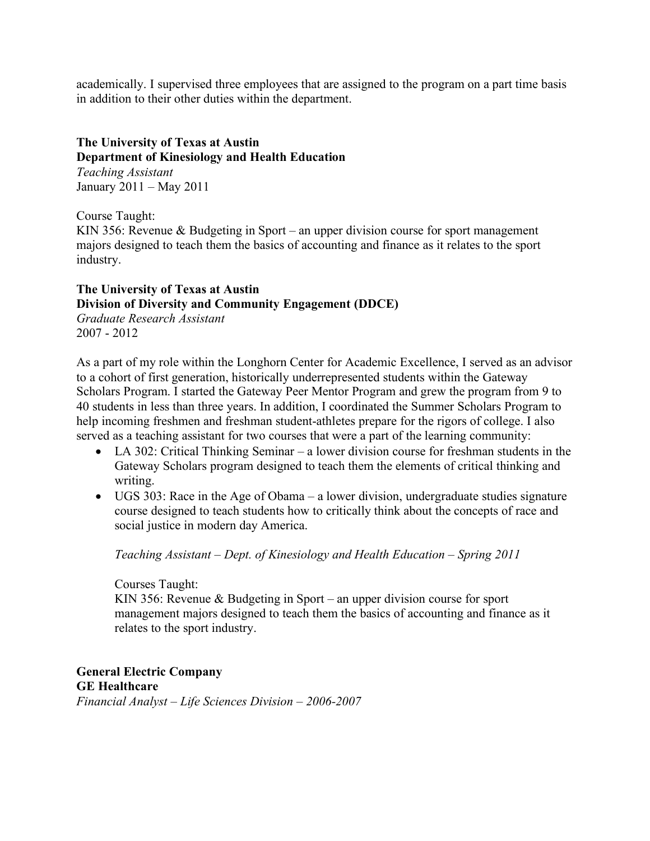academically. I supervised three employees that are assigned to the program on a part time basis in addition to their other duties within the department.

# **The University of Texas at Austin**

#### **Department of Kinesiology and Health Education**

*Teaching Assistant* January 2011 – May 2011

Course Taught:

KIN 356: Revenue & Budgeting in Sport – an upper division course for sport management majors designed to teach them the basics of accounting and finance as it relates to the sport industry.

#### **The University of Texas at Austin Division of Diversity and Community Engagement (DDCE)** *Graduate Research Assistant*

2007 - 2012

As a part of my role within the Longhorn Center for Academic Excellence, I served as an advisor to a cohort of first generation, historically underrepresented students within the Gateway Scholars Program. I started the Gateway Peer Mentor Program and grew the program from 9 to 40 students in less than three years. In addition, I coordinated the Summer Scholars Program to help incoming freshmen and freshman student-athletes prepare for the rigors of college. I also served as a teaching assistant for two courses that were a part of the learning community:

- LA 302: Critical Thinking Seminar a lower division course for freshman students in the Gateway Scholars program designed to teach them the elements of critical thinking and writing.
- UGS 303: Race in the Age of Obama a lower division, undergraduate studies signature course designed to teach students how to critically think about the concepts of race and social justice in modern day America.

*Teaching Assistant – Dept. of Kinesiology and Health Education – Spring 2011*

Courses Taught:

KIN 356: Revenue & Budgeting in Sport – an upper division course for sport management majors designed to teach them the basics of accounting and finance as it relates to the sport industry.

**General Electric Company GE Healthcare** *Financial Analyst – Life Sciences Division – 2006-2007*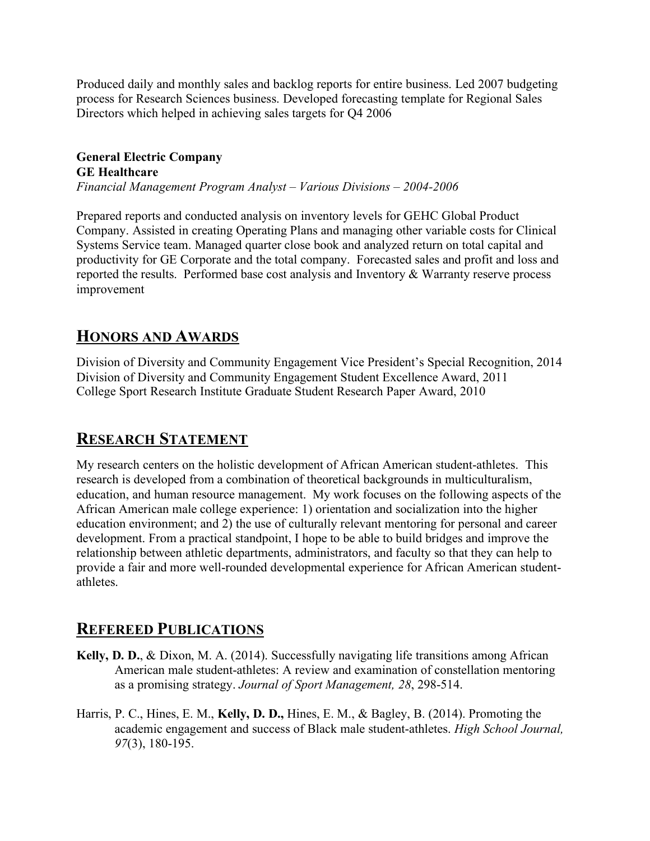Produced daily and monthly sales and backlog reports for entire business. Led 2007 budgeting process for Research Sciences business. Developed forecasting template for Regional Sales Directors which helped in achieving sales targets for Q4 2006

#### **General Electric Company GE Healthcare** *Financial Management Program Analyst – Various Divisions – 2004-2006*

Prepared reports and conducted analysis on inventory levels for GEHC Global Product Company. Assisted in creating Operating Plans and managing other variable costs for Clinical Systems Service team. Managed quarter close book and analyzed return on total capital and productivity for GE Corporate and the total company. Forecasted sales and profit and loss and reported the results. Performed base cost analysis and Inventory & Warranty reserve process improvement

# **HONORS AND AWARDS**

Division of Diversity and Community Engagement Vice President's Special Recognition, 2014 Division of Diversity and Community Engagement Student Excellence Award, 2011 College Sport Research Institute Graduate Student Research Paper Award, 2010

# **RESEARCH STATEMENT**

My research centers on the holistic development of African American student-athletes. This research is developed from a combination of theoretical backgrounds in multiculturalism, education, and human resource management. My work focuses on the following aspects of the African American male college experience: 1) orientation and socialization into the higher education environment; and 2) the use of culturally relevant mentoring for personal and career development. From a practical standpoint, I hope to be able to build bridges and improve the relationship between athletic departments, administrators, and faculty so that they can help to provide a fair and more well-rounded developmental experience for African American studentathletes.

# **REFEREED PUBLICATIONS**

- **Kelly, D. D.**, & Dixon, M. A. (2014). Successfully navigating life transitions among African American male student-athletes: A review and examination of constellation mentoring as a promising strategy. *Journal of Sport Management, 28*, 298-514.
- Harris, P. C., Hines, E. M., **Kelly, D. D.,** Hines, E. M., & Bagley, B. (2014). Promoting the academic engagement and success of Black male student-athletes. *High School Journal, 97*(3), 180-195.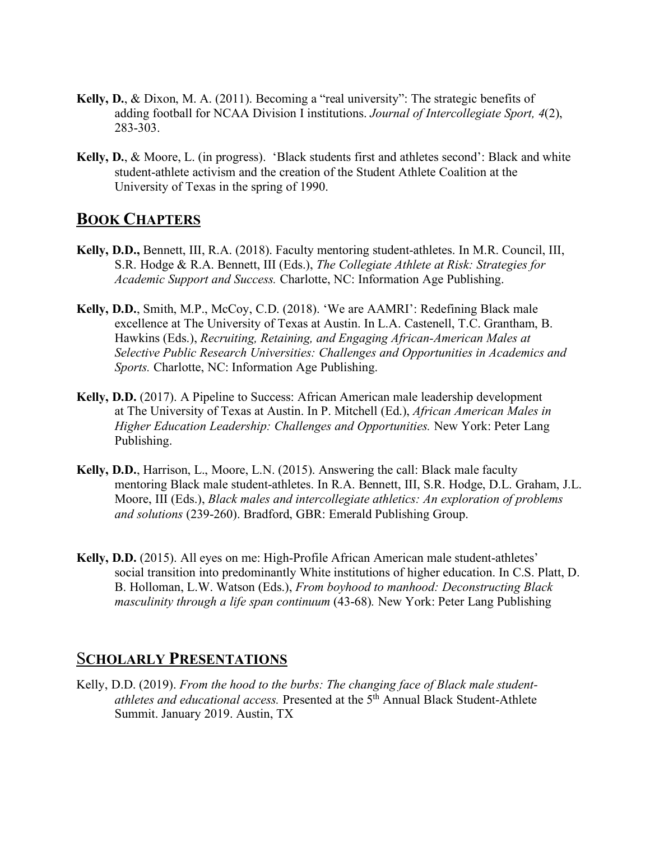- **Kelly, D.**, & Dixon, M. A. (2011). Becoming a "real university": The strategic benefits of adding football for NCAA Division I institutions. *Journal of Intercollegiate Sport, 4*(2), 283-303.
- **Kelly, D.**, & Moore, L. (in progress). 'Black students first and athletes second': Black and white student-athlete activism and the creation of the Student Athlete Coalition at the University of Texas in the spring of 1990.

### **BOOK CHAPTERS**

- **Kelly, D.D.,** Bennett, III, R.A. (2018). Faculty mentoring student-athletes. In M.R. Council, III, S.R. Hodge & R.A. Bennett, III (Eds.), *The Collegiate Athlete at Risk: Strategies for Academic Support and Success.* Charlotte, NC: Information Age Publishing.
- **Kelly, D.D.**, Smith, M.P., McCoy, C.D. (2018). 'We are AAMRI': Redefining Black male excellence at The University of Texas at Austin. In L.A. Castenell, T.C. Grantham, B. Hawkins (Eds.), *Recruiting, Retaining, and Engaging African-American Males at Selective Public Research Universities: Challenges and Opportunities in Academics and Sports.* Charlotte, NC: Information Age Publishing.
- **Kelly, D.D.** (2017). A Pipeline to Success: African American male leadership development at The University of Texas at Austin. In P. Mitchell (Ed.), *African American Males in Higher Education Leadership: Challenges and Opportunities.* New York: Peter Lang Publishing.
- **Kelly, D.D.**, Harrison, L., Moore, L.N. (2015). Answering the call: Black male faculty mentoring Black male student-athletes. In R.A. Bennett, III, S.R. Hodge, D.L. Graham, J.L. Moore, III (Eds.), *Black males and intercollegiate athletics: An exploration of problems and solutions* (239-260). Bradford, GBR: Emerald Publishing Group.
- **Kelly, D.D.** (2015). All eyes on me: High-Profile African American male student-athletes' social transition into predominantly White institutions of higher education. In C.S. Platt, D. B. Holloman, L.W. Watson (Eds.), *From boyhood to manhood: Deconstructing Black masculinity through a life span continuum* (43-68)*.* New York: Peter Lang Publishing

### S**CHOLARLY PRESENTATIONS**

Kelly, D.D. (2019). *From the hood to the burbs: The changing face of Black male studentathletes and educational access.* Presented at the 5th Annual Black Student-Athlete Summit. January 2019. Austin, TX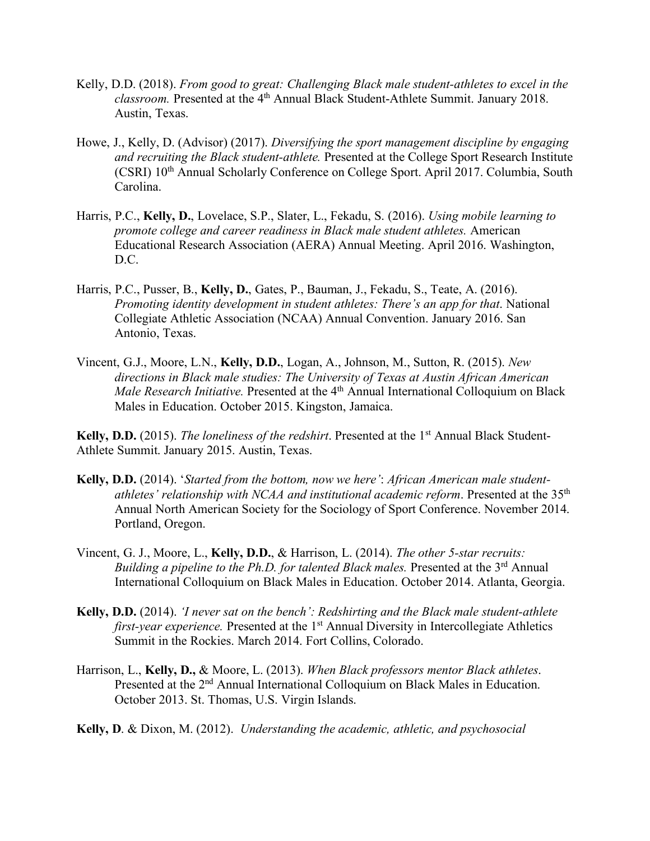- Kelly, D.D. (2018). *From good to great: Challenging Black male student-athletes to excel in the classroom.* Presented at the 4<sup>th</sup> Annual Black Student-Athlete Summit. January 2018. Austin, Texas.
- Howe, J., Kelly, D. (Advisor) (2017). *Diversifying the sport management discipline by engaging and recruiting the Black student-athlete.* Presented at the College Sport Research Institute (CSRI) 10<sup>th</sup> Annual Scholarly Conference on College Sport. April 2017. Columbia, South Carolina.
- Harris, P.C., **Kelly, D.**, Lovelace, S.P., Slater, L., Fekadu, S. (2016). *Using mobile learning to promote college and career readiness in Black male student athletes.* American Educational Research Association (AERA) Annual Meeting. April 2016. Washington, D.C.
- Harris, P.C., Pusser, B., **Kelly, D.**, Gates, P., Bauman, J., Fekadu, S., Teate, A. (2016). *Promoting identity development in student athletes: There's an app for that*. National Collegiate Athletic Association (NCAA) Annual Convention. January 2016. San Antonio, Texas.
- Vincent, G.J., Moore, L.N., **Kelly, D.D.**, Logan, A., Johnson, M., Sutton, R. (2015). *New directions in Black male studies: The University of Texas at Austin African American Male Research Initiative.* Presented at the 4<sup>th</sup> Annual International Colloquium on Black Males in Education. October 2015. Kingston, Jamaica.

Kelly, D.D. (2015). *The loneliness of the redshirt*. Presented at the 1<sup>st</sup> Annual Black Student-Athlete Summit. January 2015. Austin, Texas.

- **Kelly, D.D.** (2014). '*Started from the bottom, now we here'*: *African American male studentathletes' relationship with NCAA and institutional academic reform*. Presented at the 35th Annual North American Society for the Sociology of Sport Conference. November 2014. Portland, Oregon.
- Vincent, G. J., Moore, L., **Kelly, D.D.**, & Harrison, L. (2014). *The other 5-star recruits: Building a pipeline to the Ph.D. for talented Black males.* Presented at the 3<sup>rd</sup> Annual International Colloquium on Black Males in Education. October 2014. Atlanta, Georgia.
- **Kelly, D.D.** (2014). *'I never sat on the bench': Redshirting and the Black male student-athlete first-year experience.* Presented at the 1<sup>st</sup> Annual Diversity in Intercollegiate Athletics Summit in the Rockies. March 2014. Fort Collins, Colorado.
- Harrison, L., **Kelly, D.,** & Moore, L. (2013). *When Black professors mentor Black athletes*. Presented at the 2<sup>nd</sup> Annual International Colloquium on Black Males in Education. October 2013. St. Thomas, U.S. Virgin Islands.

**Kelly, D**. & Dixon, M. (2012). *Understanding the academic, athletic, and psychosocial*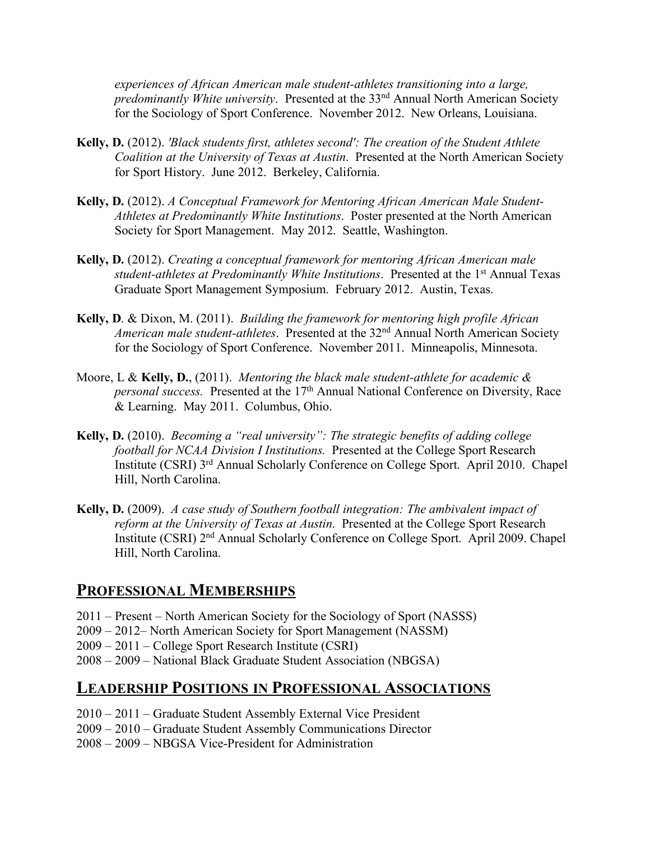*experiences of African American male student-athletes transitioning into a large, predominantly White university*. Presented at the 33<sup>nd</sup> Annual North American Society for the Sociology of Sport Conference. November 2012. New Orleans, Louisiana.

- **Kelly, D.** (2012). *'Black students first, athletes second': The creation of the Student Athlete Coalition at the University of Texas at Austin*. Presented at the North American Society for Sport History. June 2012. Berkeley, California.
- **Kelly, D.** (2012). *A Conceptual Framework for Mentoring African American Male Student-Athletes at Predominantly White Institutions*. Poster presented at the North American Society for Sport Management. May 2012. Seattle, Washington.
- **Kelly, D.** (2012). *Creating a conceptual framework for mentoring African American male student-athletes at Predominantly White Institutions.* Presented at the 1<sup>st</sup> Annual Texas Graduate Sport Management Symposium. February 2012. Austin, Texas.
- **Kelly, D**. & Dixon, M. (2011). *Building the framework for mentoring high profile African American male student-athletes*. Presented at the 32nd Annual North American Society for the Sociology of Sport Conference. November 2011. Minneapolis, Minnesota.
- Moore, L & **Kelly, D.**, (2011). *Mentoring the black male student-athlete for academic & personal success.* Presented at the 17<sup>th</sup> Annual National Conference on Diversity, Race & Learning. May 2011. Columbus, Ohio.
- **Kelly, D.** (2010). *Becoming a "real university": The strategic benefits of adding college football for NCAA Division I Institutions.* Presented at the College Sport Research Institute (CSRI) 3rd Annual Scholarly Conference on College Sport. April 2010. Chapel Hill, North Carolina.
- **Kelly, D.** (2009). *A case study of Southern football integration: The ambivalent impact of reform at the University of Texas at Austin*. Presented at the College Sport Research Institute (CSRI) 2nd Annual Scholarly Conference on College Sport. April 2009. Chapel Hill, North Carolina.

### **PROFESSIONAL MEMBERSHIPS**

- 2011 Present North American Society for the Sociology of Sport (NASSS)
- 2009 2012– North American Society for Sport Management (NASSM)
- 2009 2011 College Sport Research Institute (CSRI)
- 2008 2009 National Black Graduate Student Association (NBGSA)

# **LEADERSHIP POSITIONS IN PROFESSIONAL ASSOCIATIONS**

- 2010 2011 Graduate Student Assembly External Vice President
- 2009 2010 Graduate Student Assembly Communications Director
- 2008 2009 NBGSA Vice-President for Administration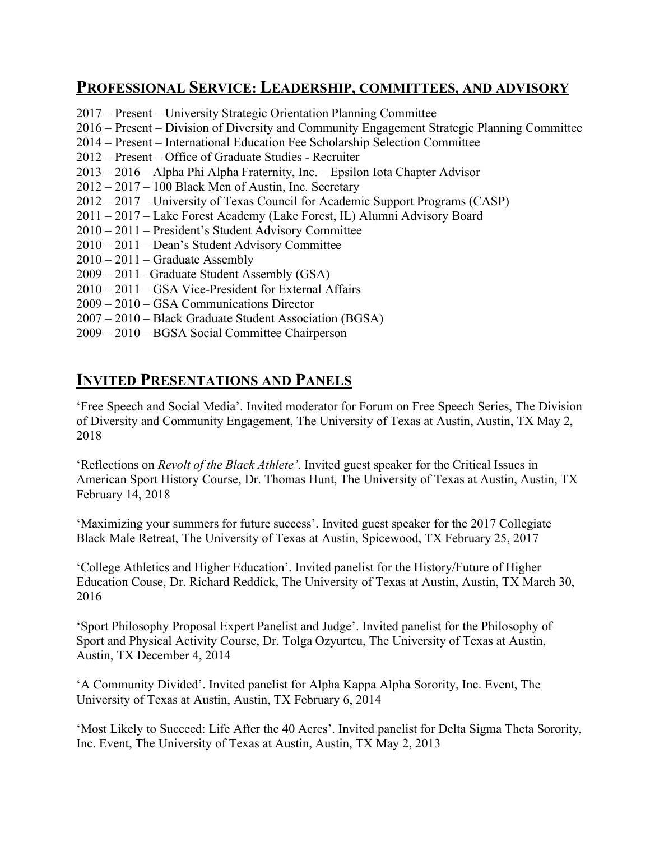# **PROFESSIONAL SERVICE: LEADERSHIP, COMMITTEES, AND ADVISORY**

- 2017 Present University Strategic Orientation Planning Committee
- 2016 Present Division of Diversity and Community Engagement Strategic Planning Committee
- 2014 Present International Education Fee Scholarship Selection Committee
- 2012 Present Office of Graduate Studies Recruiter
- 2013 2016 Alpha Phi Alpha Fraternity, Inc. Epsilon Iota Chapter Advisor
- 2012 2017 100 Black Men of Austin, Inc. Secretary
- 2012 2017 University of Texas Council for Academic Support Programs (CASP)
- 2011 2017 Lake Forest Academy (Lake Forest, IL) Alumni Advisory Board
- 2010 2011 President's Student Advisory Committee
- 2010 2011 Dean's Student Advisory Committee
- 2010 2011 Graduate Assembly
- 2009 2011– Graduate Student Assembly (GSA)
- 2010 2011 GSA Vice-President for External Affairs
- 2009 2010 GSA Communications Director
- 2007 2010 Black Graduate Student Association (BGSA)
- 2009 2010 BGSA Social Committee Chairperson

# **INVITED PRESENTATIONS AND PANELS**

'Free Speech and Social Media'. Invited moderator for Forum on Free Speech Series, The Division of Diversity and Community Engagement, The University of Texas at Austin, Austin, TX May 2, 2018

'Reflections on *Revolt of the Black Athlete'*. Invited guest speaker for the Critical Issues in American Sport History Course, Dr. Thomas Hunt, The University of Texas at Austin, Austin, TX February 14, 2018

'Maximizing your summers for future success'. Invited guest speaker for the 2017 Collegiate Black Male Retreat, The University of Texas at Austin, Spicewood, TX February 25, 2017

'College Athletics and Higher Education'. Invited panelist for the History/Future of Higher Education Couse, Dr. Richard Reddick, The University of Texas at Austin, Austin, TX March 30, 2016

'Sport Philosophy Proposal Expert Panelist and Judge'. Invited panelist for the Philosophy of Sport and Physical Activity Course, Dr. Tolga Ozyurtcu, The University of Texas at Austin, Austin, TX December 4, 2014

'A Community Divided'. Invited panelist for Alpha Kappa Alpha Sorority, Inc. Event, The University of Texas at Austin, Austin, TX February 6, 2014

'Most Likely to Succeed: Life After the 40 Acres'. Invited panelist for Delta Sigma Theta Sorority, Inc. Event, The University of Texas at Austin, Austin, TX May 2, 2013